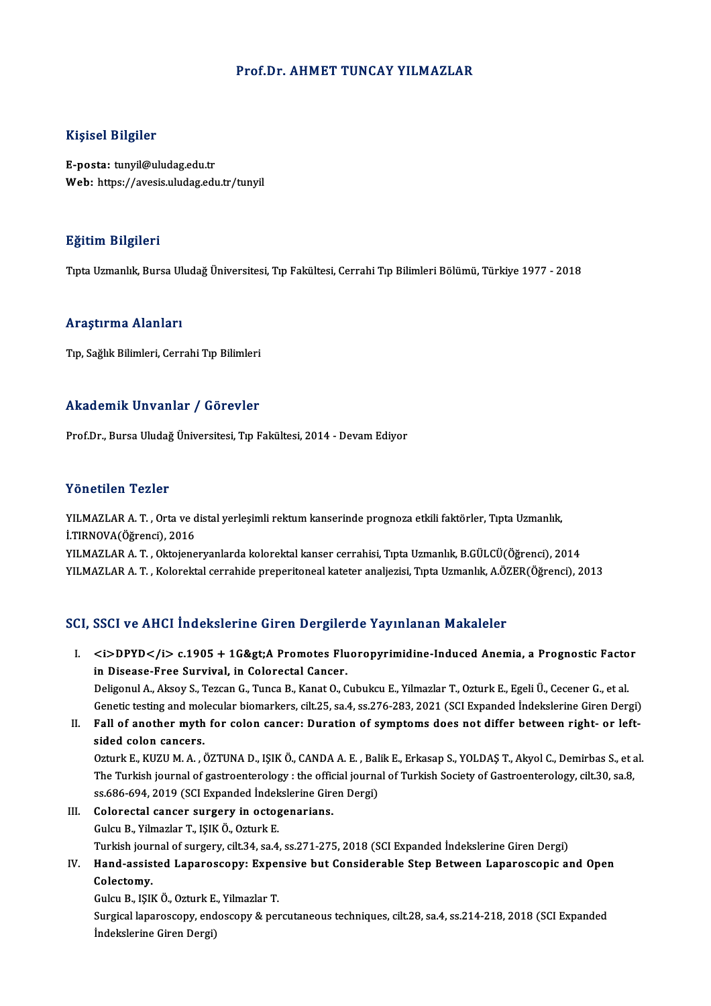#### Prof.Dr. AHMET TUNCAY YILMAZLAR

#### Kişisel Bilgiler

E-posta: tunyil@uludag.edu.tr Web: https://avesis.uludag.edu.tr/tunyil

#### Eğitim Bilgileri

TıptaUzmanlık,BursaUludağÜniversitesi,Tıp Fakültesi,CerrahiTıpBilimleriBölümü,Türkiye 1977 -2018

#### Araştırma Alanları

Tıp, Sağlık Bilimleri, Cerrahi Tıp Bilimleri

#### Akademik Unvanlar / Görevler

Prof.Dr., Bursa Uludağ Üniversitesi, Tıp Fakültesi, 2014 - Devam Ediyor

#### Yönetilen Tezler

Yönetilen Tezler<br>YILMAZLAR A. T. , Orta ve distal yerleşimli rektum kanserinde prognoza etkili faktörler, Tıpta Uzmanlık,<br>İ.TIPNOVA(Öğrensi), 2016 TURUCHUM TURIST<br>I.TIRNOVA(Öğrenci), 2016<br>VII.MAZI AR A.T. Oktojane İ.TIRNOVA(Öğrenci), 2016<br>YILMAZLAR A. T. , Oktojeneryanlarda kolorektal kanser cerrahisi, Tıpta Uzmanlık, B.GÜLCÜ(Öğrenci), 2014

YILMAZLAR A.T., Kolorektal cerrahide preperitoneal kateter analjezisi, Tıpta Uzmanlık, A.ÖZER(Öğrenci), 2013

### SCI, SSCI ve AHCI İndekslerine Giren Dergilerde Yayınlanan Makaleler

CI, SSCI ve AHCI İndekslerine Giren Dergilerde Yayınlanan Makaleler<br>I. <i>DPYD</i> c.1905 + 1G&gt;A Promotes Fluoropyrimidine-Induced Anemia, a Prognostic Factor<br>in Disease Free Survival in Celerestal Cancer spoor ve ringt in densitering an en Dergiter<br>
<i>DPYD</i> c.1905 + 1G&gt;A Promotes Flu<br>
in Disease-Free Survival, in Colorectal Cancer.<br>
Deligenul A Aligey S. Teggen G. Tunge B. Kenst O. G in Disease-Free Survival, in Colorectal Cancer.<br>Deligonul A., Aksoy S., Tezcan G., Tunca B., Kanat O., Cubukcu E., Yilmazlar T., Ozturk E., Egeli Ü., Cecener G., et al. in Disease-Free Survival, in Colorectal Cancer.<br>Deligonul A., Aksoy S., Tezcan G., Tunca B., Kanat O., Cubukcu E., Yilmazlar T., Ozturk E., Egeli Ü., Cecener G., et al.<br>Genetic testing and molecular biomarkers, cilt.25, sa

Deligonul A., Aksoy S., Tezcan G., Tunca B., Kanat O., Cubukcu E., Yilmazlar T., Ozturk E., Egeli Ü., Cecener G., et al.<br>Genetic testing and molecular biomarkers, cilt.25, sa.4, ss.276-283, 2021 (SCI Expanded İndekslerine

Genetic testing and molecular<br>Fall of another myth<br>sided colon cancers. II. Fall of another myth for colon cancer: Duration of symptoms does not differ between right- or left-<br>sided colon cancers.<br>Ozturk E., KUZU M. A. , ÖZTUNA D., IŞIK Ö., CANDA A. E. , Balik E., Erkasap S., YOLDAŞ T., Akyol

sided colon cancers.<br>Ozturk E., KUZU M. A. , ÖZTUNA D., IŞIK Ö., CANDA A. E. , Balik E., Erkasap S., YOLDAŞ T., Akyol C., Demirbas S., et<br>The Turkish journal of gastroenterology : the official journal of Turkish Society of Ozturk E., KUZU M. A. , ÖZTUNA D., IŞIK Ö., CANDA A. E. , Bal<br>The Turkish journal of gastroenterology : the official journa<br>ss.686-694, 2019 (SCI Expanded İndekslerine Giren Dergi)<br>Celerestal sansar sursarıy in estessperia

ss.686-694, 2019 (SCI Expanded Indekslerine Giren Dergi)<br>III. Colorectal cancer surgery in octogenarians. GulcuB.,YilmazlarT., IŞIKÖ.,OzturkE. Turkish journal of surgery, cilt.34, sa.4, ss.271-275, 2018 (SCI Expanded İndekslerine Giren Dergi) Gulcu B., Yilmazlar T., IŞIK Ö., Ozturk E.<br>Turkish journal of surgery, cilt.34, sa.4, ss.271-275, 2018 (SCI Expanded İndekslerine Giren Dergi)<br>IV. Hand-assisted Laparoscopy: Expensive but Considerable Step Between Lapa

# Turkish jour<br>Hand-assis<br>Colectomy.<br>Culau B. 1914 Hand-assisted Laparoscopy: Exper<br>Colectomy.<br>Gulcu B., IŞIK Ö., Ozturk E., Yilmazlar T.<br>Surgical laparoscopy: ondoscopy: 8. per

Colectomy.<br>Gulcu B., IŞIK Ö., Ozturk E., Yilmazlar T.<br>Surgical laparoscopy, endoscopy & percutaneous techniques, cilt.28, sa.4, ss.214-218, 2018 (SCI Expanded İndekslerine Giren Dergi)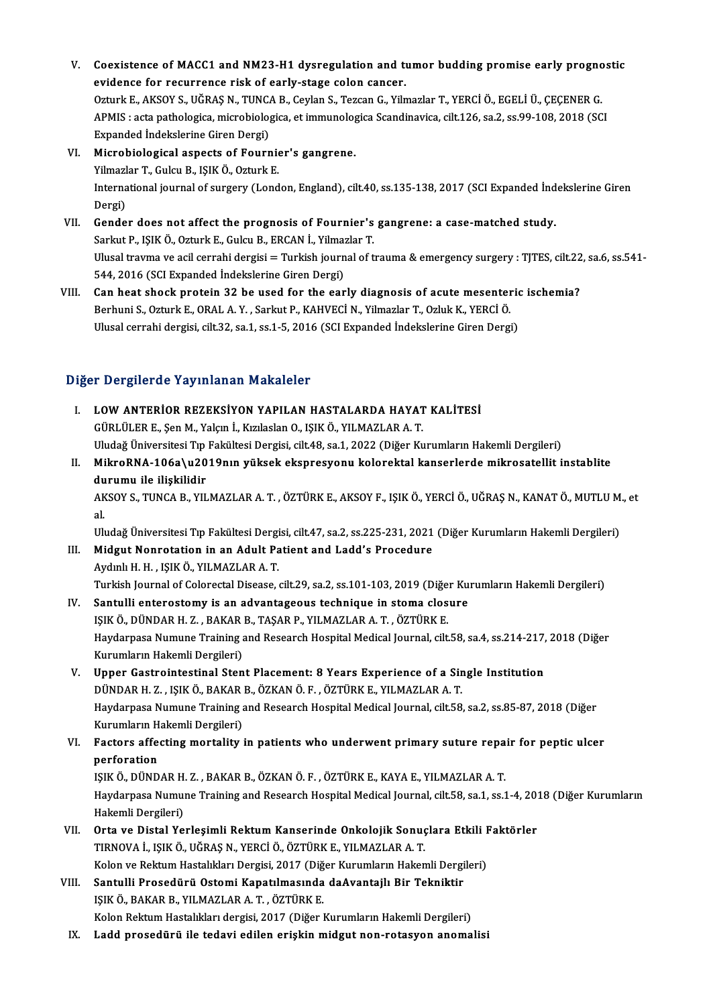- V. Coexistence of MACC1 and NM23-H1 dysregulation and tumor budding promise early prognostic<br>exidence for requirence rick of early stage selon cancer. Coexistence of MACC1 and NM23-H1 dysregulation and the<br>evidence for recurrence risk of early-stage colon cancer.<br>Otturk E. AKSOV S. HČRAS N. THNCA B. Coulan S. Terson C. Viln Coexistence of MACC1 and NM23-H1 dysregulation and tumor budding promise early progno<br>evidence for recurrence risk of early-stage colon cancer.<br>Ozturk E., AKSOY S., UĞRAŞ N., TUNCA B., Ceylan S., Tezcan G., Yilmazlar T., Y evidence for recurrence risk of early-stage colon cancer.<br>Ozturk E., AKSOY S., UĞRAŞ N., TUNCA B., Ceylan S., Tezcan G., Yilmazlar T., YERCİ Ö., EGELİ Ü., ÇEÇENER G.<br>APMIS : acta pathologica, microbiologica, et immunologic Ozturk E., AKSOY S., UĞRAŞ N., TUNC.<br>APMIS : acta pathologica, microbiolog<br>Expanded İndekslerine Giren Dergi)<br>Microbiological aspects of Fourr APMIS : acta pathologica, microbiologica, et immunolog<br>Expanded Indekslerine Giren Dergi)<br>VI. Microbiological aspects of Fournier's gangrene.<br>Vilmaglar T. Culqu P. ISIK Ö. Ogturk E.
- Expanded İndekslerine Giren Dergi)<br>Microbiological aspects of Fournie<br>Yilmazlar T., Gulcu B., IŞIK Ö., Ozturk E.<br>International iournal of surgery (Lond International journal of surgery (London, England), cilt.40, ss.135-138, 2017 (SCI Expanded İndekslerine Giren<br>Dergi) Yilmazlar T., Gulcu B., IŞIK Ö., Ozturk E. International journal of surgery (London, England), cilt.40, ss.135-138, 2017 (SCI Expanded ind<br>Dergi)<br>VII. Gender does not affect the prognosis of Fournier's gangrene: a case-matched study.<br>Sarlar B. ISIK Ö. Orturk E. Cul
- Dergi)<br>Gender does not affect the prognosis of Fournier's<br>Sarkut P., IŞIK Ö., Ozturk E., Gulcu B., ERCAN İ., Yilmazlar T.<br>Ulucel trauma ve asil sarrabi dergisi Turkish journal of t Ulusal travma ve acil cerrahi dergisi = Turkish journal of trauma & emergency surgery : TJTES, cilt.22, sa.6, ss.541-<br>544, 2016 (SCI Expanded İndekslerine Giren Dergi) Sarkut P., IŞIK Ö., Ozturk E., Gulcu B., ERCAN İ., Yilmazlar T. VI Ulusal travma ve acil cerrahi dergisi = Turkish journal of trauma & emergency surgery : TJTES, cilt.22<br>544, 2016 (SCI Expanded Indekslerine Giren Dergi)<br>VIII. Can heat shock protein 32 be used for the early diagnosis o
- 544, 2016 (SCI Expanded İndekslerine Giren Dergi)<br>Can heat shock protein 32 be used for the early diagnosis of acute mesenter<br>Berhuni S., Ozturk E., ORAL A.Y. , Sarkut P., KAHVECİ N., Yilmazlar T., Ozluk K., YERCİ Ö.<br>Uluse Can heat shock protein 32 be used for the early diagnosis of acute mesenteric<br>Berhuni S., Ozturk E., ORAL A. Y. , Sarkut P., KAHVECİ N., Yilmazlar T., Ozluk K., YERCİ Ö.<br>Ulusal cerrahi dergisi, cilt.32, sa.1, ss.1-5, 2016 Ulusal cerrahi dergisi, cilt.32, sa.1, ss.1-5, 2016 (SCI Expanded İndekslerine Giren Dergi)<br>Diğer Dergilerde Yayınlanan Makaleler

- I. LOWANTERİOR REZEKSİYON YAPILAN HASTALARDA HAYAT KALİTESİ GÜRLÜLERE.,ŞenM.,Yalçınİ.,KızılaslanO., IŞIKÖ.,YILMAZLARA.T. Uludağ Üniversitesi Tıp Fakültesi Dergisi, cilt.48, sa.1, 2022 (Diğer Kurumların Hakemli Dergileri) GÜRLÜLER E., Şen M., Yalçın İ., Kızılaslan O., IŞIK Ö., YILMAZLAR A. T.<br>Uludağ Üniversitesi Tıp Fakültesi Dergisi, cilt.48, sa.1, 2022 (Diğer Kurumların Hakemli Dergileri)<br>II. MikroRNA-106a\u2019nın yüksek ekspresyonu kolo
- Uludağ Üniversitesi Tıp<br>MikroRNA-106a\u20<br>durumu ile ilişkilidir<br>AKSOV S. TUNCA B. VU MikroRNA-106a\u2019nın yüksek ekspresyonu kolorektal kanserlerde mikrosatellit instablite<br>durumu ile ilişkilidir<br>AKSOY S., TUNCA B., YILMAZLAR A. T. , ÖZTÜRK E., AKSOY F., IŞIK Ö., YERCİ Ö., UĞRAŞ N., KANAT Ö., MUTLU M., e

du<br>AK<br>al<br>111. AKSOY S., TUNCA B., YILMAZLAR A. T. , ÖZTÜRK E., AKSOY F., IŞIK Ö., YERCİ Ö., UĞRAŞ N., KANAT Ö., MUTLU M<br>al.<br>Uludağ Üniversitesi Tıp Fakültesi Dergisi, cilt.47, sa.2, ss.225-231, 2021 (Diğer Kurumların Hakemli Dergileri)

al.<br>Uludağ Üniversitesi Tıp Fakültesi Dergisi, cilt.47, sa.2, ss.225-231, 2021 (Diğer Kurumların Hakemli Dergileri)<br>III. Midgut Nonrotation in an Adult Patient and Ladd's Procedure

- AydınlıH.H. , IŞIKÖ.,YILMAZLARA.T. Midgut Nonrotation in an Adult Patient and Ladd's Procedure<br>Aydınlı H. H. , IŞIK Ö., YILMAZLAR A. T.<br>Turkish Journal of Colorectal Disease, cilt.29, sa.2, ss.101-103, 2019 (Diğer Kurumların Hakemli Dergileri)<br>Santulli anta
- IV. Santulli enterostomy is an advantageous technique in stoma closure<br>ISIK Ö., DÜNDAR H. Z., BAKAR B., TAŞAR P., YILMAZLAR A. T., ÖZTÜRK E. Turkish Journal of Colorectal Disease, cilt.29, sa.2, ss.101-103, 2019 (Diğe:<br>Santulli enterostomy is an advantageous technique in stoma clos<br>IŞIK Ö., DÜNDAR H. Z. , BAKAR B., TAŞAR P., YILMAZLAR A. T. , ÖZTÜRK E.<br>Havdarne Santulli enterostomy is an advantageous technique in stoma closure<br>IŞIK Ö., DÜNDAR H. Z. , BAKAR B., TAŞAR P., YILMAZLAR A. T. , ÖZTÜRK E.<br>Haydarpasa Numune Training and Research Hospital Medical Journal, cilt.58, sa.4, ss IŞIK Ö., DÜNDAR H. Z. , BAKAR<br>Haydarpasa Numune Training a<br>Kurumların Hakemli Dergileri)<br>Haner Gestreintestinel Stan Haydarpasa Numune Training and Research Hospital Medical Journal, cilt.58, sa.4, ss.214-217,<br>Kurumların Hakemli Dergileri)<br>V. Upper Gastrointestinal Stent Placement: 8 Years Experience of a Single Institution<br>DINDARH 7 - I
- Kurumların Hakemli Dergileri)<br>Upper Gastrointestinal Stent Placement: 8 Years Experience of a Sir<br>DÜNDAR H. Z. , IŞIK Ö., BAKAR B., ÖZKAN Ö. F. , ÖZTÜRK E., YILMAZLAR A. T.<br>Havdarnasa Numuna Training and Bessarsh Haspital DÜNDAR H. Z. , IŞIK Ö., BAKAR B., ÖZKAN Ö. F. , ÖZTÜRK E., YILMAZLAR A. T.<br>Haydarpasa Numune Training and Research Hospital Medical Journal, cilt.58, sa.2, ss.85-87, 2018 (Diğer DÜNDAR H. Z. , IŞIK Ö., BAKAR<br>Haydarpasa Numune Training a<br>Kurumların Hakemli Dergileri)<br>Factors affecting montality i
- VI. Factors affecting mortality in patients who underwent primary suture repair for peptic ulcer<br>perforation Kurumların H<br>Factors affe<br>perforation<br>ISIKÖ DÜND Factors affecting mortality in patients who underwent primary suture repa<br>perforation<br>IŞIK Ö., DÜNDAR H. Z. , BAKAR B., ÖZKAN Ö. F. , ÖZTÜRK E., KAYA E., YILMAZLAR A. T.<br>Havdarnass Numuna Training and Bassarsk Haspital Med

Haydarpasa Numune Training and Research Hospital Medical Journal, cilt.58, sa.1, ss.1-4, 2018 (Diğer Kurumların<br>Hakemli Dergileri) IŞIK Ö., DÜNDAR H.<br>Haydarpasa Numuı<br>Hakemli Dergileri)<br>Orta ve Distal Ye Haydarpasa Numune Training and Research Hospital Medical Journal, cilt.58, sa.1, ss.1-4, 2013<br>Hakemli Dergileri)<br>VII. Orta ve Distal Yerleşimli Rektum Kanserinde Onkolojik Sonuçlara Etkili Faktörler<br>TIPNOVA İ. ISIKÖ LÜ

- Hakemli Dergileri)<br>Orta ve Distal Yerleşimli Rektum Kanserinde Onkolojik Sonuç<br>TIRNOVA İ., IŞIK Ö., UĞRAŞ N., YERCİ Ö., ÖZTÜRK E., YILMAZLAR A. T.<br>Kelan ve Baktum Hastalıkları Dergisi 2017 (Diğer Kurumların Hakan Orta ve Distal Yerleşimli Rektum Kanserinde Onkolojik Sonuçlara Etkili I<br>TIRNOVA İ., IŞIK Ö., UĞRAŞ N., YERCİ Ö., ÖZTÜRK E., YILMAZLAR A. T.<br>Kolon ve Rektum Hastalıkları Dergisi, 2017 (Diğer Kurumların Hakemli Dergileri)<br>S Kolon ve Rektum Hastalıkları Dergisi, 2017 (Diğer Kurumların Hakemli Dergileri)
- TIRNOVA İ., IŞIK Ö., UĞRAŞ N., YERCİ Ö., ÖZTÜRK E., YILMAZLAR A. T.<br>Kolon ve Rektum Hastalıkları Dergisi, 2017 (Diğer Kurumların Hakemli Dergi<br>VIII. Santulli Prosedürü Ostomi Kapatılmasında daAvantajlı Bir Tekniktir<br>ISIK Ö Kolon Rektum Hastalıkları dergisi, 2017 (Diğer Kurumların Hakemli Dergileri)
	- IX. Ladd prosedürü ile tedavi edilen erişkinmidgut non-rotasyon anomalisi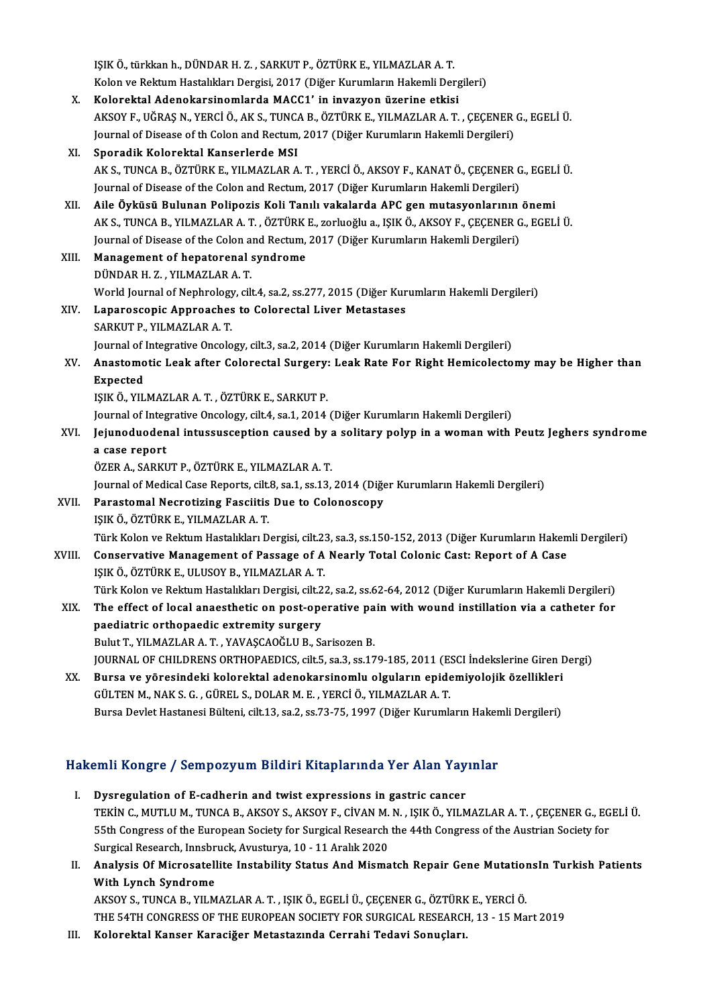IŞIKÖ., türkkanh.,DÜNDARH.Z. ,SARKUTP.,ÖZTÜRKE.,YILMAZLARA.T. Kolon ve Rektum Hastalıkları Dergisi, 2017 (Diğer Kurumların Hakemli Dergileri) X. Kolorektal AdenokarsinomlardaMACC1' in invazyon üzerine etkisi Kolon ve Rektum Hastalıkları Dergisi, 2017 (Diğer Kurumların Hakemli Dergileri)<br><mark>Kolorektal Adenokarsinomlarda MACC1' in invazyon üzerine etkisi</mark><br>AKSOY F., UĞRAŞ N., YERCİ Ö., AK S., TUNCA B., ÖZTÜRK E., YILMAZLAR A. T. , Kolorektal Adenokarsinomlarda MACC1' in invazyon üzerine etkisi<br>AKSOY F., UĞRAŞ N., YERCİ Ö., AK S., TUNCA B., ÖZTÜRK E., YILMAZLAR A. T. , ÇEÇENER<br>Journal of Disease of th Colon and Rectum, 2017 (Diğer Kurumların Hakemli Journal of Disease of th Colon and Rectum, 2017 (Diğer Kurumların Hakemli Dergileri)<br>XI. Sporadik Kolorektal Kanserlerde MSI Journal of Disease of th Colon and Rectum, 2017 (Diğer Kurumların Hakemli Dergileri)<br><mark>Sporadik Kolorektal Kanserlerde MSI</mark><br>AK S., TUNCA B., ÖZTÜRK E., YILMAZLAR A. T. , YERCİ Ö., AKSOY F., KANAT Ö., ÇEÇENER G., EGELİ Ü.<br>Jo Sporadik Kolorektal Kanserlerde MSI<br>AK S., TUNCA B., ÖZTÜRK E., YILMAZLAR A. T. , YERCİ Ö., AKSOY F., KANAT Ö., ÇEÇENER G<br>Journal of Disease of the Colon and Rectum, 2017 (Diğer Kurumların Hakemli Dergileri)<br>Ailo Öyküsü Pu Journal of Disease of the Colon and Rectum, 2017 (Diğer Kurumların Hakemli Dergileri)<br>XII. Aile Öyküsü Bulunan Polipozis Koli Tanılı vakalarda APC gen mutasyonlarının önemi Journal of Disease of the Colon and Rectum, 2017 (Diğer Kurumların Hakemli Dergileri)<br>Aile Öyküsü Bulunan Polipozis Koli Tanılı vakalarda APC gen mutasyonlarının önemi<br>AK S., TUNCA B., YILMAZLAR A. T. , ÖZTÜRK E., zorluoğl Aile Öyküsü Bulunan Polipozis Koli Tanılı vakalarda APC gen mutasyonlarının<br>AK S., TUNCA B., YILMAZLAR A. T. , ÖZTÜRK E., zorluoğlu a., IŞIK Ö., AKSOY F., ÇEÇENER G<br>Journal of Disease of the Colon and Rectum, 2017 (Diğer K XIII. Management of hepatorenal syndrome<br>DÜNDAR H. Z., YILMAZLAR A. T. Journal of Disease of the Colon and Rectum, 2017 (Diğer Kurumların Hakemli Dergileri) Management of hepatorenal syndrome<br>DÜNDAR H. Z. , YILMAZLAR A. T.<br>World Journal of Nephrology, cilt.4, sa.2, ss.277, 2015 (Diğer Kurumların Hakemli Dergileri)<br>Lananossaanis Annroashes ta Colanestal Liver Metestesse XIV. Laparoscopic Approaches to Colorectal Liver Metastases World Journal of Nephrology<br><mark>Laparoscopic Approaches</mark><br>SARKUT P., YILMAZLAR A. T.<br>Journal of Integrative Ongele Journal of Integrative Oncology, cilt.3, sa.2, 2014 (Diğer Kurumların Hakemli Dergileri) SARKUT P., YILMAZLAR A. T.<br>Journal of Integrative Oncology, cilt.3, sa.2, 2014 (Diğer Kurumların Hakemli Dergileri)<br>XV. Anastomotic Leak after Colorectal Surgery: Leak Rate For Right Hemicolectomy may be Higher than<br>Fu Journal of **J**<br>Anastomo<br>Expected<br>ISIV Ö. VII Anastomotic Leak after Colorectal Surgery:<br>Expected<br>IŞIK Ö., YILMAZLAR A. T. , ÖZTÜRK E., SARKUT P.<br>Iournal of Integrative Ongelegy, silt 4, es 1, 2014. Expected<br>IŞIK Ö., YILMAZLAR A. T. , ÖZTÜRK E., SARKUT P.<br>Journal of Integrative Oncology, cilt.4, sa.1, 2014 (Diğer Kurumların Hakemli Dergileri)<br>Journaduodenal intussussention saused by a solitary polyn in a weman with IŞIK Ö., YILMAZLAR A. T. , ÖZTÜRK E., SARKUT P.<br>Journal of Integrative Oncology, cilt.4, sa.1, 2014 (Diğer Kurumların Hakemli Dergileri)<br>XVI. Jejunoduodenal intussusception caused by a solitary polyp in a woman with Pe Journal of Integ<br>Jejunoduoden<br>a case report<br>ÖZEP A SAPEI ÖZERA.,SARKUTP.,ÖZTÜRKE.,YILMAZLARA.T. Journal of Medical Case Reports, cilt.8, sa.1, ss.13, 2014 (Diğer Kurumların Hakemli Dergileri) ÖZER A., SARKUT P., ÖZTÜRK E., YILMAZLAR A. T.<br>Journal of Medical Case Reports, cilt.8, sa.1, ss.13, 2014 (Diğe<br>XVII. Parastomal Necrotizing Fasciitis Due to Colonoscopy<br>ISIK Ö. ÖZTÜRK E. VILMAZLAR A. T. Journal of Medical Case Reports, cilt.<br><mark>Parastomal Necrotizing Fasciitis</mark><br>IŞIK Ö., ÖZTÜRK E., YILMAZLAR A. T.<br>Türk Kelen ve Beltum Hestellden D. IŞIK Ö., ÖZTÜRK E., YILMAZLAR A. T.<br>Türk Kolon ve Rektum Hastalıkları Dergisi, cilt.23, sa.3, ss.150-152, 2013 (Diğer Kurumların Hakemli Dergileri) IŞIK Ö., ÖZTÜRK E., YILMAZLAR A. T.<br>Türk Kolon ve Rektum Hastalıkları Dergisi, cilt.23, sa.3, ss.150-152, 2013 (Diğer Kurumların Haken<br>XVIII. Conservative Management of Passage of A Nearly Total Colonic Cast: Report of Türk Kolon ve Rektum Hastalıkları Dergisi, cilt.2:<br>Conservative Management of Passage of A<br>IŞIK Ö., ÖZTÜRK E., ULUSOY B., YILMAZLAR A. T.<br>Türk Kolon ve Bektum Hastalıkları Dargisi, silt.2: Conservative Management of Passage of A Nearly Total Colonic Cast: Report of A Case<br>IŞIK Ö., ÖZTÜRK E., ULUSOY B., YILMAZLAR A. T.<br>Türk Kolon ve Rektum Hastalıkları Dergisi, cilt.22, sa.2, ss.62-64, 2012 (Diğer Kurumların IŞIK Ö., ÖZTÜRK E., ULUSOY B., YILMAZLAR A. T.<br>Türk Kolon ve Rektum Hastalıkları Dergisi, cilt.22, sa.2, ss.62-64, 2012 (Diğer Kurumların Hakemli Dergileri)<br>XIX. The effect of local anaesthetic on post-operative pain w Türk Kolon ve Rektum Hastalıkları Dergisi, cilt.2<br>The effect of local anaesthetic on post-ope<br>paediatric orthopaedic extremity surgery<br>Pulut T. VII MAZI AR A.T. VAVASCAQČI U.P. S. The effect of local anaesthetic on post-operative pa<br>paediatric orthopaedic extremity surgery<br>Bulut T., YILMAZLAR A.T., YAVAŞCAOĞLU B., Sarisozen B.<br>JOUPMAL OF CHU DRENS OPTHOPAEDICS, cilt 5, 22, 22, 17 paediatric orthopaedic extremity surgery<br>Bulut T., YILMAZLAR A. T. , YAVAŞCAOĞLU B., Sarisozen B.<br>JOURNAL OF CHILDRENS ORTHOPAEDICS, cilt.5, sa.3, ss.179-185, 2011 (ESCI İndekslerine Giren Dergi)<br>Bunas ve vönesindeki kalen Bulut T., YILMAZLAR A. T. , YAVAŞCAOĞLU B., Sarisozen B.<br>JOURNAL OF CHILDRENS ORTHOPAEDICS, cilt5, sa.3, ss.179-185, 2011 (ESCI İndekslerine Giren I<br>XX. Bursa ve yöresindeki kolorektal adenokarsinomlu olguların epidemiyolo JOURNAL OF CHILDRENS ORTHOPAEDICS, cilt.5, sa.3, ss.179-185, 2011 (E. Bursa ve yöresindeki kolorektal adenokarsinomlu olguların epide<br>GÜLTEN M., NAK S. G. , GÜREL S., DOLAR M. E. , YERCİ Ö., YILMAZLAR A. T.<br>Bursa Davlet Ha XX. Bursa ve yöresindeki kolorektal adenokarsinomlu olguların epidemiyolojik özellikleri<br>GÜLTEN M., NAK S. G., GÜREL S., DOLAR M. E., YERCİ Ö., YILMAZLAR A. T.<br>Bursa Devlet Hastanesi Bülteni, cilt.13, sa.2, ss.73-75, 1997

# Bursa Deviet Hastanesi Buiteni, cit.13, sa.2, ss.73-75, 1997 (Diger Kurumların Haken<br>Hakemli Kongre / Sempozyum Bildiri Kitaplarında Yer Alan Yayınlar

- akemli Kongre / Sempozyum Bildiri Kitaplarında Yer Alan Yay<br>I. Dysregulation of E-cadherin and twist expressions in gastric cancer<br>TEVIN G MUTUJM TUNGAR AVSOV S AVSOV E CİVANMAN ISIV Ö VUM I. Dysregulation of E-cadherin and twist expressions in gastric cancer<br>TEKİN C., MUTLU M., TUNCA B., AKSOY S., AKSOY F., CİVAN M. N. , IŞIK Ö., YILMAZLAR A. T. , ÇEÇENER G., EGELİ Ü Dysregulation of E-cadherin and twist expressions in gastric cancer<br>TEKİN C., MUTLU M., TUNCA B., AKSOY S., AKSOY F., CİVAN M. N. , IŞIK Ö., YILMAZLAR A. T. , ÇEÇENER G., EG<br>55th Congress of the European Society for Surgic TEKİN C., MUTLU M., TUNCA B., AKSOY S., AKSOY F., CİVAN M.<br>55th Congress of the European Society for Surgical Research<br>Surgical Research, Innsbruck, Avusturya, 10 - 11 Aralık 2020<br>Analyaia Of Mispeestellite Instability Sta 55th Congress of the European Society for Surgical Research the 44th Congress of the Austrian Society for<br>Surgical Research, Innsbruck, Avusturya, 10 - 11 Aralık 2020<br>II. Analysis Of Microsatellite Instability Status And M
- Surgical Research, Innsbr<br>Analysis Of Microsatell<br>With Lynch Syndrome<br>AKSOV S. TUNCA B. VU M Analysis Of Microsatellite Instability Status And Mismatch Repair Gene Mutation<br>With Lynch Syndrome<br>AKSOY S., TUNCA B., YILMAZLAR A. T. , IŞIK Ö., EGELİ Ü., ÇEÇENER G., ÖZTÜRK E., YERCİ Ö.<br>THE 54TH CONCRESS OF THE FUROREAN

With Lynch Syndrome<br>AKSOY S., TUNCA B., YILMAZLAR A. T. , IŞIK Ö., EGELİ Ü., ÇEÇENER G., ÖZTÜRK E., YERCİ Ö.<br>THE 54TH CONGRESS OF THE EUROPEAN SOCIETY FOR SURGICAL RESEARCH, 13 - 15 Mart 2019

III. Kolorektal Kanser Karaciğer Metastazında Cerrahi Tedavi Sonuçları.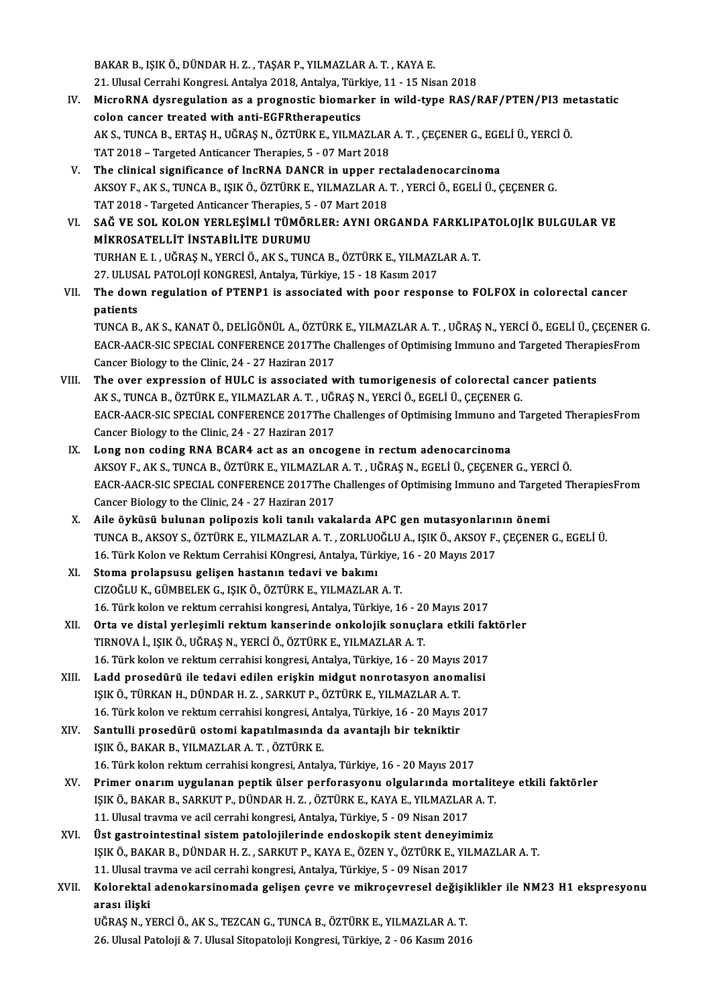BAKARB., IŞIKÖ.,DÜNDARH.Z. ,TAŞARP.,YILMAZLARA.T. ,KAYAE. BAKAR B., IŞIK Ö., DÜNDAR H. Z. , TAŞAR P., YILMAZLAR A. T. , KAYA E.<br>21. Ulusal Cerrahi Kongresi. Antalya 2018, Antalya, Türkiye, 11 - 15 Nisan 2018<br>Misre BNA dyspegylation es a pregnestis biomerker in wild type BAS (I BAKAR B., IŞIK Ö., DÜNDAR H. Z. , TAŞAR P., YILMAZLAR A. T. , KAYA E.<br>21. Ulusal Cerrahi Kongresi. Antalya 2018, Antalya, Türkiye, 11 - 15 Nisan 2018<br>IV. MicroRNA dysregulation as a prognostic biomarker in wild-type RA

- 21. Ulusal Cerrahi Kongresi. Antalya 2018, Antalya, Türk<br>MicroRNA dysregulation as a prognostic biomark<br>colon cancer treated with anti-EGFRtherapeutics<br>AKS TINGA B ERTAS H JIČRAS N ÖZTÜRKE VILMA MicroRNA dysregulation as a prognostic biomarker in wild-type RAS/RAF/PTEN/PI3 m<br>colon cancer treated with anti-EGFRtherapeutics<br>AK S., TUNCA B., ERTAŞ H., UĞRAŞ N., ÖZTÜRK E., YILMAZLAR A. T. , ÇEÇENER G., EGELİ Ü., YERCİ colon cancer treated with anti-EGFRtherapeutics<br>AK S., TUNCA B., ERTAŞ H., UĞRAŞ N., ÖZTÜRK E., YILMAZLAR A. T. , ÇEÇENER G., EGELİ Ü., YERCİ Ö.<br>TAT 2018 – Targeted Anticancer Therapies, 5 - 07 Mart 2018 AK S., TUNCA B., ERTAȘ H., UĞRAŞ N., ÖZTÜRK E., YILMAZLAR A. T., ÇEÇENER G., EGE<br>TAT 2018 – Targeted Anticancer Therapies, 5 - 07 Mart 2018<br>V. The clinical significance of lncRNA DANCR in upper rectaladenocarcinoma<br>AKSOV E
- AKSOY F., AK S., TUNCA B., IŞIK Ö., ÖZTÜRK E., YILMAZLAR A. T. , YERCİ Ö., EGELİ Ü., ÇEÇENER G.<br>TAT 2018 Targeted Anticancer Therapies. 5 07 Mart 2018 The clinical significance of lncRNA DANCR in upper re<br>AKSOY F., AK S., TUNCA B., IŞIK Ö., ÖZTÜRK E., YILMAZLAR A.<br>TAT 2018 - Targeted Anticancer Therapies, 5 - 07 Mart 2018<br>SAČ VE SOL KOLON VERLESIMLİ TÜMÖRLER. AVNLOR AKSOY F., AK S., TUNCA B., IŞIK Ö., ÖZTÜRK E., YILMAZLAR A. T. , YERCİ Ö., EGELİ Ü., ÇEÇENER G.<br>TAT 2018 - Targeted Anticancer Therapies, 5 - 07 Mart 2018<br>VI. SAĞ VE SOL KOLON YERLEŞİMLİ TÜMÖRLER: AYNI ORGANDA FARKLIPATOLO
- TAT 2018 Targeted Anticancer Therapies, 5<br>SAĞ VE SOL KOLON YERLEŞİMLİ TÜMÖR<br>MİKROSATELLİT İNSTABİLİTE DURUMU<br>TUPHAN E L. HÖRAS N. YERÇİ Ö. AK S. TUNG SAĞ VE SOL KOLON YERLEŞİMLİ TÜMÖRLER: AYNI ORGANDA FARKLIP.<br>MİKROSATELLİT İNSTABİLİTE DURUMU<br>TURHAN E. I. , UĞRAŞ N., YERCİ Ö., AK S., TUNCA B., ÖZTÜRK E., YILMAZLAR A. T.<br>27 IU USAL PATOLOU KONCRESİ, ARRAYA Türkiye 15 - 1 MİKROSATELLİT İNSTABİLİTE DURUMU<br>TURHAN E. I. , UĞRAŞ N., YERCİ Ö., AK S., TUNCA B., ÖZTÜRK E., YILMAZLAR A. T.<br>27. ULUSAL PATOLOJİ KONGRESİ, Antalya, Türkiye, 15 - 18 Kasım 2017 TURHAN E. I. , UĞRAŞ N., YERCİ Ö., AK S., TUNCA B., ÖZTÜRK E., YILMAZLAR A. T.<br>27. ULUSAL PATOLOJİ KONGRESİ, Antalya, Türkiye, 15 - 18 Kasım 2017<br>VII. The down regulation of PTENP1 is associated with poor response to F
- 27. ULUSA<br>The dow<br>patients<br>TUNCA B The down regulation of PTENP1 is associated with poor response to FOLFOX in colorectal cancer<br>patients<br>TUNCA B., AK S., KANAT Ö., DELİGÖNÜL A., ÖZTÜRK E., YILMAZLAR A. T. , UĞRAŞ N., YERCİ Ö., EGELİ Ü., ÇEÇENER G.<br>FACP AAC

patients<br>TUNCA B., AK S., KANAT Ö., DELİGÖNÜL A., ÖZTÜRK E., YILMAZLAR A. T. , UĞRAŞ N., YERCİ Ö., EGELİ Ü., ÇEÇENER G<br>EACR-AACR-SIC SPECIAL CONFERENCE 2017The Challenges of Optimising Immuno and Targeted TherapiesFrom<br>Can TUNCA B., AK S., KANAT Ö., DELİGÖNÜL A., ÖZTÜRI<br>EACR-AACR-SIC SPECIAL CONFERENCE 2017The C<br>Cancer Biology to the Clinic, 24 - 27 Haziran 2017<br>The ever synression of HIIL C is associated v EACR-AACR-SIC SPECIAL CONFERENCE 2017The Challenges of Optimising Immuno and Targeted TherapiesFrom<br>Cancer Biology to the Clinic, 24 - 27 Haziran 2017<br>VIII. The over expression of HULC is associated with tumorigenesis of c

- Cancer Biology to the Clinic, 24 27 Haziran 2017<br>The over expression of HULC is associated with tumorigenesis of colorectal ca<br>AK S., TUNCA B., ÖZTÜRK E., YILMAZLAR A. T. , UĞRAŞ N., YERCİ Ö., EGELİ Ü., ÇEÇENER G.<br>EACP A EACR-AACR-SIC SPECIAL CONFERENCE 2017The Challenges of Optimising Immuno and Targeted TherapiesFrom<br>Cancer Biology to the Clinic, 24 - 27 Haziran 2017 AK S., TUNCA B., ÖZTÜRK E., YILMAZLAR A. T. , UĞI<br>EACR-AACR-SIC SPECIAL CONFERENCE 2017The C<br>Cancer Biology to the Clinic, 24 - 27 Haziran 2017<br>Lang nan soding PNA BCABA ast as an ansos
- IX. Long non coding RNA BCAR4 act as an oncogene in rectum adenocarcinoma Cancer Biology to the Clinic, 24 - 27 Haziran 2017<br>Long non coding RNA BCAR4 act as an oncogene in rectum adenocarcinoma<br>AKSOY F., AK S., TUNCA B., ÖZTÜRK E., YILMAZLAR A. T. , UĞRAŞ N., EGELİ Ü., ÇEÇENER G., YERCİ Ö.<br>EACP Long non coding RNA BCAR4 act as an oncogene in rectum adenocarcinoma<br>AKSOY F., AK S., TUNCA B., ÖZTÜRK E., YILMAZLAR A. T. , UĞRAŞ N., EGELİ Ü., ÇEÇENER G., YERCİ Ö.<br>EACR-AACR-SIC SPECIAL CONFERENCE 2017The Challenges of AKSOY F., AK S., TUNCA B., ÖZTÜRK E., YILMAZLAR<br>EACR-AACR-SIC SPECIAL CONFERENCE 2017The C<br>Cancer Biology to the Clinic, 24 - 27 Haziran 2017 EACR-AACR-SIC SPECIAL CONFERENCE 2017The Challenges of Optimising Immuno and Target<br>Cancer Biology to the Clinic, 24 - 27 Haziran 2017<br>X. Aile öyküsü bulunan polipozis koli tanılı vakalarda APC gen mutasyonlarının önemi<br>TI
- Cancer Biology to the Clinic, 24 27 Haziran 2017<br>X. Aile öyküsü bulunan polipozis koli tanılı vakalarda APC gen mutasyonlarının önemi<br>TUNCA B., AKSOY S., ÖZTÜRK E., YILMAZLAR A. T. , ZORLUOĞLU A., IŞIK Ö., AKSOY F., Aile öyküsü bulunan polipozis koli tanılı vakalarda APC gen mutasyonlarır<br>TUNCA B., AKSOY S., ÖZTÜRK E., YILMAZLAR A. T. , ZORLUOĞLU A., IŞIK Ö., AKSOY F.,<br>16. Türk Kolon ve Rektum Cerrahisi KOngresi, Antalya, Türkiye, 16
- XI. Stoma prolapsusu gelişen hastanın tedavi ve bakımı 16. Türk Kolon ve Rektum Cerrahisi KOngresi, Antalya, Türkiye, :<br>Stoma prolapsusu gelişen hastanın tedavi ve bakımı<br>CIZOĞLU K., GÜMBELEK G., IŞIK Ö., ÖZTÜRK E., YILMAZLAR A. T.<br>16. Türk kolon ve rektum cerrebisi kongresi, 16. Türk kolon ve rektum cerrahisi kongresi, Antalya, Türkiye, 16 - 20 Mayıs 2017 CIZOĞLU K., GÜMBELEK G., IŞIK Ö., ÖZTÜRK E., YILMAZLAR A. T.<br>16. Türk kolon ve rektum cerrahisi kongresi, Antalya, Türkiye, 16 - 20 Mayıs 2017<br>XII. Orta ve distal yerleşimli rektum kanserinde onkolojik sonuçlara etkili
- 16. Türk kolon ve rektum cerrahisi kongresi, Antalya, Türkiye, 16 20<br>Orta ve distal yerleşimli rektum kanserinde onkolojik sonuçlı<br>TIRNOVA İ., IŞIK Ö., UĞRAŞ N., YERCİ Ö., ÖZTÜRK E., YILMAZLAR A. T.<br>16. Türk kolon ve rek Orta ve distal yerleşimli rektum kanserinde onkolojik sonuçlara etkili fak<br>TIRNOVA İ., IŞIK Ö., UĞRAŞ N., YERCİ Ö., ÖZTÜRK E., YILMAZLAR A. T.<br>16. Türk kolon ve rektum cerrahisi kongresi, Antalya, Türkiye, 16 - 20 Mayıs 20 TIRNOVA İ., IŞIK Ö., UĞRAŞ N., YERCİ Ö., ÖZTÜRK E., YILMAZLAR A. T.<br>16. Türk kolon ve rektum cerrahisi kongresi, Antalya, Türkiye, 16 - 20 Mayıs 2017<br>XIII. Ladd prosedürü ile tedavi edilen erişkin midgut nonrotasyon anomal
- 16. Türk kolon ve rektum cerrahisi kongresi, Antalya, Türkiye, 16 20 Mayıs<br>Ladd prosedürü ile tedavi edilen erişkin midgut nonrotasyon anom<br>IŞIK Ö., TÜRKAN H., DÜNDAR H. Z. , SARKUT P., ÖZTÜRK E., YILMAZLAR A. T.<br>16. Tür Ladd prosedürü ile tedavi edilen erişkin midgut nonrotasyon anomalisi<br>151K Ö., TÜRKAN H., DÜNDAR H. Z. , SARKUT P., ÖZTÜRK E., YILMAZLAR A. T.<br>16. Türk kolon ve rektum cerrahisi kongresi, Antalya, Türkiye, 16 - 20 Mayıs 20 IŞIK Ö., TÜRKAN H., DÜNDAR H. Z. , SARKUT P., ÖZTÜRK E., YILMAZLAR A. T.<br>16. Türk kolon ve rektum cerrahisi kongresi, Antalya, Türkiye, 16 - 20 Mayıs<br>XIV. Santulli prosedürü ostomi kapatılmasında da avantajlı bir tekniktir
- 16. Türk kolon ve rektum cerrahisi kongresi, An<br>Santulli prosedürü ostomi kapatılmasında<br>IŞIK Ö., BAKAR B., YILMAZLAR A. T. , ÖZTÜRK E.<br>16. Türk kolon rektum cerrebisi kongresi, Antak 16. Türk kolon rektum cerrahisi kongresi, Antalya, Türkiye, 16 - 20 Mayıs 2017
- IŞIK Ö., BAKAR B., YILMAZLAR A. T. , ÖZTÜRK E.<br>16. Türk kolon rektum cerrahisi kongresi, Antalya, Türkiye, 16 20 Mayıs 2017<br>XV. Primer onarım uygulanan peptik ülser perforasyonu olgularında mortaliteye etkili faktörl 16. Türk kolon rektum cerrahisi kongresi, Antalya, Türkiye, 16 - 20 Mayıs 2017<br>Primer onarım uygulanan peptik ülser perforasyonu olgularında mortalit<br>IŞIK Ö., BAKAR B., SARKUT P., DÜNDAR H. Z. , ÖZTÜRK E., KAYA E., YILMAZL Primer onarım uygulanan peptik ülser perforasyonu olgularında molektik bir peritik bir sakara bir sanatçık bir<br>151. Ulusal travma ve acil cerrahi kongresi, Antalya, Türkiye, 5 - 09 Nisan 2017<br>Üst sastrajntastinal sistem pa IŞIK Ö., BAKAR B., SARKUT P., DÜNDAR H. Z. , ÖZTÜRK E., KAYA E., YILMAZLAR A. T.<br>11. Ulusal travma ve acil cerrahi kongresi, Antalya, Türkiye, 5 - 09 Nisan 2017<br>XVI. Üst gastrointestinal sistem patoloiilerinde endoskop
- 11. Ulusal travma ve acil cerrahi kongresi, Antalya, Türkiye, 5 09 Nisan 2017<br>Üst gastrointestinal sistem patolojilerinde endoskopik stent deneyimimiz<br>IŞIK Ö., BAKAR B., DÜNDAR H. Z. , SARKUT P., KAYA E., ÖZEN Y., ÖZTÜRK Üst gastrointestinal sistem patolojilerinde endoskopik stent deneyim<br>IŞIK Ö., BAKAR B., DÜNDAR H. Z. , SARKUT P., KAYA E., ÖZEN Y., ÖZTÜRK E., YIL<br>11. Ulusal travma ve acil cerrahi kongresi, Antalya, Türkiye, 5 - 09 Nisan IŞIK Ö., BAKAR B., DÜNDAR H. Z. , SARKUT P., KAYA E., ÖZEN Y., ÖZTÜRK E., YILMAZLAR A. T.<br>11. Ulusal travma ve acil cerrahi kongresi, Antalya, Türkiye, 5 - 09 Nisan 2017<br>XVII. Kolorektal adenokarsinomada gelişen çevre
- 11. Ulusal t<mark>r</mark><br>Kolorektal<br>arası ilişki<br>UČPAS N. Y Kolorektal adenokarsinomada gelişen çevre ve mikroçevresel değişil<br>arası ilişki<br>UĞRAŞ N., YERCİ Ö., AK S., TEZCAN G., TUNCA B., ÖZTÜRK E., YILMAZLAR A. T.<br>26 Ulucal Patalaji & 7 Ulucal Sitanatalaji Kangresi Türkiye 2, 06 K

arası ilişki<br>UĞRAŞ N., YERCİ Ö., AK S., TEZCAN G., TUNCA B., ÖZTÜRK E., YILMAZLAR A. T.<br>26. Ulusal Patoloji & 7. Ulusal Sitopatoloji Kongresi, Türkiye, 2 - 06 Kasım 2016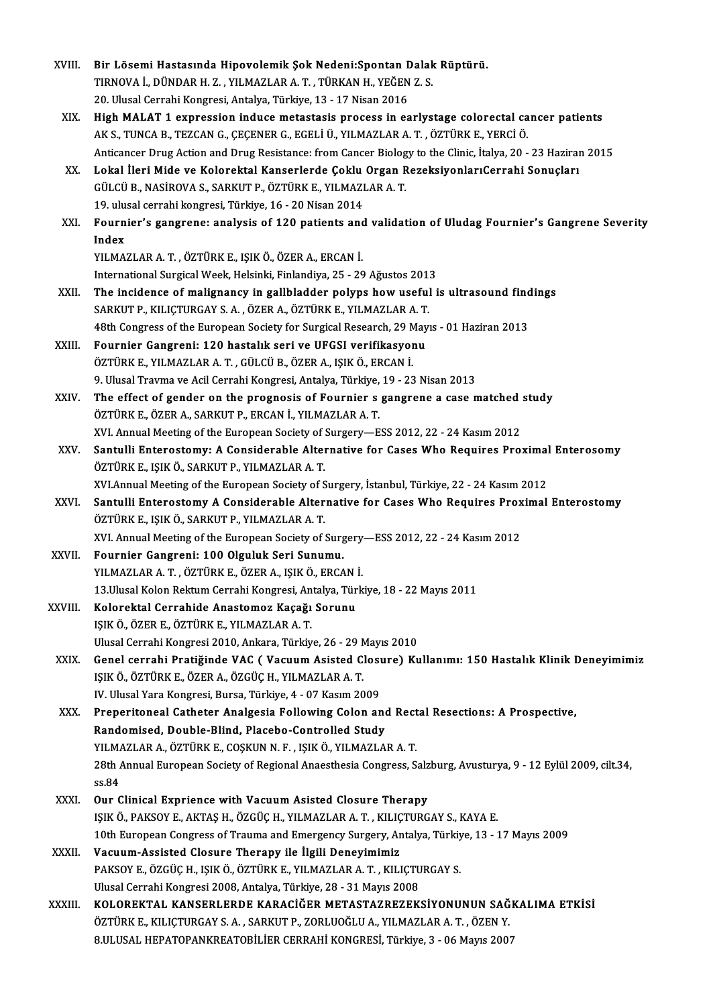| XVIII.       | Bir Lösemi Hastasında Hipovolemik Şok Nedeni: Spontan Dalak Rüptürü.                                             |
|--------------|------------------------------------------------------------------------------------------------------------------|
|              | TIRNOVA İ., DÜNDAR H. Z., YILMAZLAR A. T., TÜRKAN H., YEĞEN Z. S.                                                |
|              | 20. Ulusal Cerrahi Kongresi, Antalya, Türkiye, 13 - 17 Nisan 2016                                                |
| XIX.         | High MALAT 1 expression induce metastasis process in earlystage colorectal cancer patients                       |
|              | AK S., TUNCA B., TEZCAN G., ÇEÇENER G., EGELİ Ü., YILMAZLAR A. T., ÖZTÜRK E., YERCİ Ö.                           |
|              | Anticancer Drug Action and Drug Resistance: from Cancer Biology to the Clinic, İtalya, 20 - 23 Haziran 2015      |
| XX.          | Lokal İleri Mide ve Kolorektal Kanserlerde Çoklu Organ RezeksiyonlarıCerrahi Sonuçları                           |
|              | GÜLCÜ B., NASİROVA S., SARKUT P., ÖZTÜRK E., YILMAZLAR A.T.                                                      |
|              | 19. ulusal cerrahi kongresi, Türkiye, 16 - 20 Nisan 2014                                                         |
| XXI.         | Fournier's gangrene: analysis of 120 patients and validation of Uludag Fournier's Gangrene Severity              |
|              | Index                                                                                                            |
|              | YILMAZLAR A. T., ÖZTÜRK E., IŞIK Ö., ÖZER A., ERCAN İ.                                                           |
|              | International Surgical Week, Helsinki, Finlandiya, 25 - 29 Ağustos 2013                                          |
| XXII.        | The incidence of malignancy in gallbladder polyps how useful is ultrasound findings                              |
|              | SARKUT P., KILIÇTURGAY S. A., ÖZER A., ÖZTÜRK E., YILMAZLAR A. T.                                                |
|              | 48th Congress of the European Society for Surgical Research, 29 Mayıs - 01 Haziran 2013                          |
| XXIII.       | Fournier Gangreni: 120 hastalık seri ve UFGSI verifikasyonu                                                      |
|              | ÖZTÜRK E., YILMAZLAR A. T., GÜLCÜ B., ÖZER A., IŞIK Ö., ERCAN İ.                                                 |
|              | 9. Ulusal Travma ve Acil Cerrahi Kongresi, Antalya, Türkiye, 19 - 23 Nisan 2013                                  |
| XXIV.        | The effect of gender on the prognosis of Fournier s gangrene a case matched study                                |
|              | ÖZTÜRK E., ÖZER A., SARKUT P., ERCAN İ., YILMAZLAR A. T.                                                         |
|              | XVI. Annual Meeting of the European Society of Surgery-ESS 2012, 22 - 24 Kasım 2012                              |
| XXV.         | Santulli Enterostomy: A Considerable Alternative for Cases Who Requires Proximal Enterosomy                      |
|              | ÖZTÜRK E., IŞIK Ö., SARKUT P., YILMAZLAR A. T.                                                                   |
|              | XVI.Annual Meeting of the European Society of Surgery, İstanbul, Türkiye, 22 - 24 Kasım 2012                     |
| XXVI.        | Santulli Enterostomy A Considerable Alternative for Cases Who Requires Proximal Enterostomy                      |
|              | ÖZTÜRK E., IŞIK Ö., SARKUT P., YILMAZLAR A.T.                                                                    |
|              | XVI. Annual Meeting of the European Society of Surgery-ESS 2012, 22 - 24 Kasım 2012                              |
| <b>XXVII</b> | Fournier Gangreni: 100 Olguluk Seri Sunumu.                                                                      |
|              | YILMAZLAR A. T., ÖZTÜRK E., ÖZER A., IŞIK Ö., ERCAN İ.                                                           |
|              | 13 Ulusal Kolon Rektum Cerrahi Kongresi, Antalya, Türkiye, 18 - 22 Mayıs 2011                                    |
| XXVIII.      | Kolorektal Cerrahide Anastomoz Kaçağı Sorunu                                                                     |
|              | IŞIK Ö., ÖZER E., ÖZTÜRK E., YILMAZLAR A.T.<br>Ulusal Cerrahi Kongresi 2010, Ankara, Türkiye, 26 - 29 Mayıs 2010 |
| XXIX.        | Genel cerrahi Pratiğinde VAC (Vacuum Asisted Closure) Kullanımı: 150 Hastalık Klinik Deneyimimiz                 |
|              | IŞIK Ö., ÖZTÜRK E., ÖZER A., ÖZGÜÇ H., YILMAZLAR A.T.                                                            |
|              | IV. Ulusal Yara Kongresi, Bursa, Türkiye, 4 - 07 Kasım 2009                                                      |
| XXX.         | Preperitoneal Catheter Analgesia Following Colon and Rectal Resections: A Prospective,                           |
|              | Randomised, Double-Blind, Placebo-Controlled Study                                                               |
|              | YILMAZLAR A., ÖZTÜRK E., COŞKUN N. F., IŞIK Ö., YILMAZLAR A. T.                                                  |
|              | 28th Annual European Society of Regional Anaesthesia Congress, Salzburg, Avusturya, 9 - 12 Eylül 2009, cilt.34,  |
|              | ss 84                                                                                                            |
| XXXI.        | Our Clinical Exprience with Vacuum Asisted Closure Therapy                                                       |
|              | IŞIK Ö., PAKSOY E., AKTAŞ H., ÖZGÜÇ H., YILMAZLAR A. T., KILIÇTURGAY S., KAYA E.                                 |
|              | 10th European Congress of Trauma and Emergency Surgery, Antalya, Türkiye, 13 - 17 Mayıs 2009                     |
| XXXII.       | Vacuum-Assisted Closure Therapy ile İlgili Deneyimimiz                                                           |
|              | PAKSOY E., ÖZGÜÇ H., IŞIK Ö., ÖZTÜRK E., YILMAZLAR A. T., KILIÇTURGAY S.                                         |
|              | Ulusal Cerrahi Kongresi 2008, Antalya, Türkiye, 28 - 31 Mayıs 2008                                               |
| XXXIII.      | KOLOREKTAL KANSERLERDE KARACIĞER METASTAZREZEKSIYONUNUN SAĞKALIMA ETKISI                                         |
|              | ÖZTÜRK E., KILIÇTURGAY S. A., SARKUT P., ZORLUOĞLU A., YILMAZLAR A. T., ÖZEN Y.                                  |
|              | 8.ULUSAL HEPATOPANKREATOBİLİER CERRAHİ KONGRESİ, Türkiye, 3 - 06 Mayıs 2007                                      |
|              |                                                                                                                  |